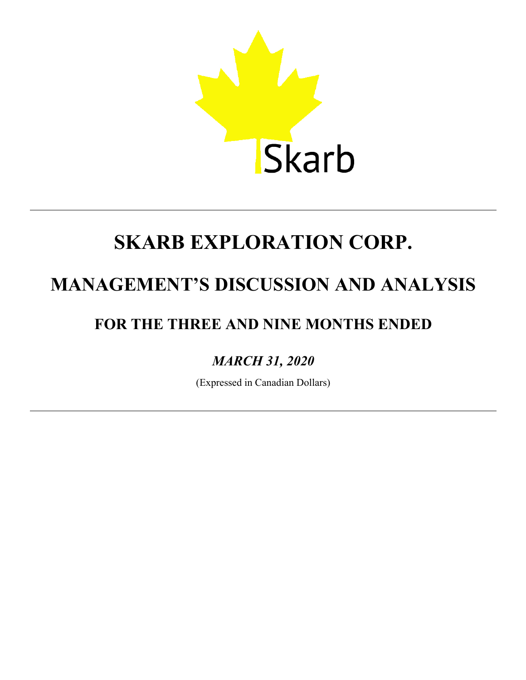

## **MANAGEMENT'S DISCUSSION AND ANALYSIS**

## **FOR THE THREE AND NINE MONTHS ENDED**

### *MARCH 31, 2020*

(Expressed in Canadian Dollars)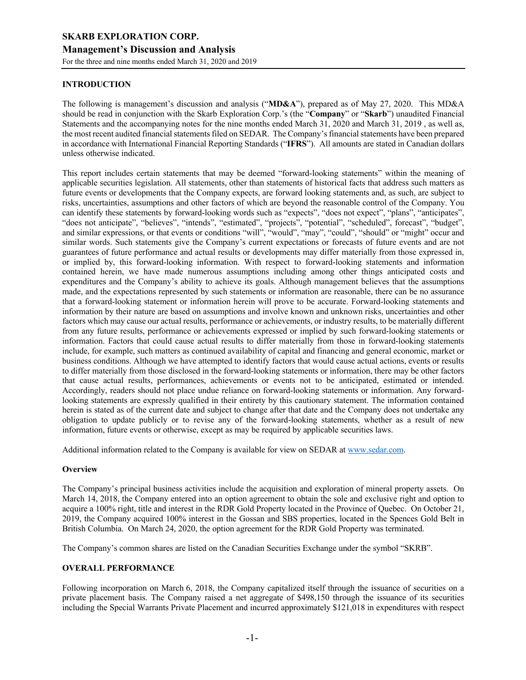#### **INTRODUCTION**

The following is management's discussion and analysis ("**MD&A**"), prepared as of May 27, 2020. This MD&A should be read in conjunction with the Skarb Exploration Corp.'s (the "**Company**" or "**Skarb**") unaudited Financial Statements and the accompanying notes for the nine months ended March 31, 2020 and March 31, 2019 , as well as, the most recent audited financial statements filed on SEDAR. The Company's financial statements have been prepared in accordance with International Financial Reporting Standards ("**IFRS**"). All amounts are stated in Canadian dollars unless otherwise indicated.

This report includes certain statements that may be deemed "forward-looking statements" within the meaning of applicable securities legislation. All statements, other than statements of historical facts that address such matters as future events or developments that the Company expects, are forward looking statements and, as such, are subject to risks, uncertainties, assumptions and other factors of which are beyond the reasonable control of the Company. You can identify these statements by forward-looking words such as "expects", "does not expect", "plans", "anticipates", "does not anticipate", "believes", "intends", "estimated", "projects", "potential", "scheduled", forecast", "budget", and similar expressions, or that events or conditions "will", "would", "may", "could", "should" or "might" occur and similar words. Such statements give the Company's current expectations or forecasts of future events and are not guarantees of future performance and actual results or developments may differ materially from those expressed in, or implied by, this forward-looking information. With respect to forward-looking statements and information contained herein, we have made numerous assumptions including among other things anticipated costs and expenditures and the Company's ability to achieve its goals. Although management believes that the assumptions made, and the expectations represented by such statements or information are reasonable, there can be no assurance that a forward-looking statement or information herein will prove to be accurate. Forward-looking statements and information by their nature are based on assumptions and involve known and unknown risks, uncertainties and other factors which may cause our actual results, performance or achievements, or industry results, to be materially different from any future results, performance or achievements expressed or implied by such forward-looking statements or information. Factors that could cause actual results to differ materially from those in forward-looking statements include, for example, such matters as continued availability of capital and financing and general economic, market or business conditions. Although we have attempted to identify factors that would cause actual actions, events or results to differ materially from those disclosed in the forward-looking statements or information, there may be other factors that cause actual results, performances, achievements or events not to be anticipated, estimated or intended. Accordingly, readers should not place undue reliance on forward-looking statements or information. Any forwardlooking statements are expressly qualified in their entirety by this cautionary statement. The information contained herein is stated as of the current date and subject to change after that date and the Company does not undertake any obligation to update publicly or to revise any of the forward-looking statements, whether as a result of new information, future events or otherwise, except as may be required by applicable securities laws.

Additional information related to the Company is available for view on SEDAR at www.sedar.com.

#### **Overview**

The Company's principal business activities include the acquisition and exploration of mineral property assets. On March 14, 2018, the Company entered into an option agreement to obtain the sole and exclusive right and option to acquire a 100% right, title and interest in the RDR Gold Property located in the Province of Quebec. On October 21, 2019, the Company acquired 100% interest in the Gossan and SBS properties, located in the Spences Gold Belt in British Columbia. On March 24, 2020, the option agreement for the RDR Gold Property was terminated.

The Company's common shares are listed on the Canadian Securities Exchange under the symbol "SKRB".

#### **OVERALL PERFORMANCE**

Following incorporation on March 6, 2018, the Company capitalized itself through the issuance of securities on a private placement basis. The Company raised a net aggregate of \$498,150 through the issuance of its securities including the Special Warrants Private Placement and incurred approximately \$121,018 in expenditures with respect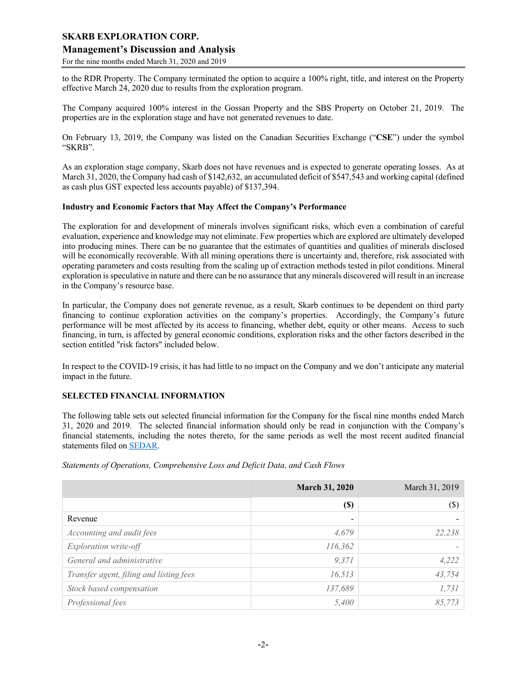#### **Management's Discussion and Analysis**

For the nine months ended March 31, 2020 and 2019

to the RDR Property. The Company terminated the option to acquire a 100% right, title, and interest on the Property effective March 24, 2020 due to results from the exploration program.

The Company acquired 100% interest in the Gossan Property and the SBS Property on October 21, 2019. The properties are in the exploration stage and have not generated revenues to date.

On February 13, 2019, the Company was listed on the Canadian Securities Exchange ("**CSE**") under the symbol "SKRB".

As an exploration stage company, Skarb does not have revenues and is expected to generate operating losses. As at March 31, 2020, the Company had cash of \$142,632, an accumulated deficit of \$547,543 and working capital (defined as cash plus GST expected less accounts payable) of \$137,394.

#### **Industry and Economic Factors that May Affect the Company's Performance**

The exploration for and development of minerals involves significant risks, which even a combination of careful evaluation, experience and knowledge may not eliminate. Few properties which are explored are ultimately developed into producing mines. There can be no guarantee that the estimates of quantities and qualities of minerals disclosed will be economically recoverable. With all mining operations there is uncertainty and, therefore, risk associated with operating parameters and costs resulting from the scaling up of extraction methods tested in pilot conditions. Mineral exploration is speculative in nature and there can be no assurance that any minerals discovered will result in an increase in the Company's resource base.

In particular, the Company does not generate revenue, as a result, Skarb continues to be dependent on third party financing to continue exploration activities on the company's properties. Accordingly, the Company's future performance will be most affected by its access to financing, whether debt, equity or other means. Access to such financing, in turn, is affected by general economic conditions, exploration risks and the other factors described in the section entitled "risk factors" included below.

In respect to the COVID-19 crisis, it has had little to no impact on the Company and we don't anticipate any material impact in the future.

#### **SELECTED FINANCIAL INFORMATION**

The following table sets out selected financial information for the Company for the fiscal nine months ended March 31, 2020 and 2019. The selected financial information should only be read in conjunction with the Company's financial statements, including the notes thereto, for the same periods as well the most recent audited financial statements filed on SEDAR.

|                                         | <b>March 31, 2020</b> | March 31, 2019 |
|-----------------------------------------|-----------------------|----------------|
|                                         | <b>(\$)</b>           | (S)            |
| Revenue                                 | -                     |                |
| Accounting and audit fees               | 4,679                 | 22,238         |
| Exploration write-off                   | 116,362               |                |
| General and administrative              | 9,371                 | 4,222          |
| Transfer agent, filing and listing fees | 16,513                | 43,754         |
| Stock based compensation                | 137,689               | 1,731          |
| Professional fees                       | 5,400                 | 85,773         |

*Statements of Operations, Comprehensive Loss and Deficit Data, and Cash Flows*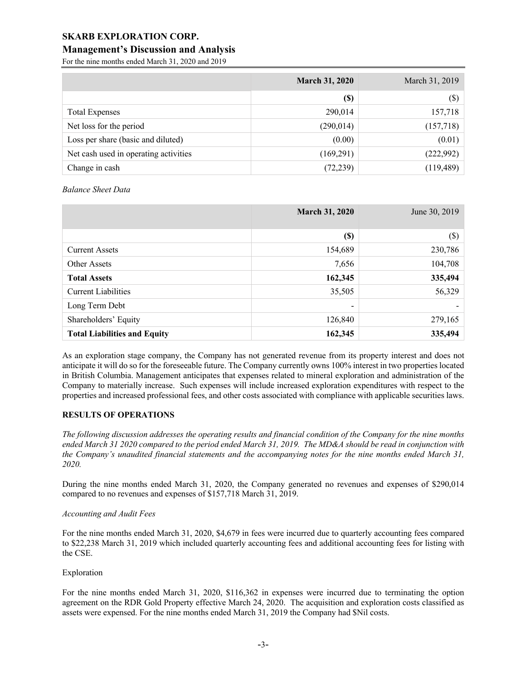#### **Management's Discussion and Analysis**

For the nine months ended March 31, 2020 and 2019

|                                       | <b>March 31, 2020</b> | March 31, 2019 |
|---------------------------------------|-----------------------|----------------|
|                                       | <b>(\$)</b>           | $(\$\)$        |
| <b>Total Expenses</b>                 | 290,014               | 157,718        |
| Net loss for the period               | (290, 014)            | (157,718)      |
| Loss per share (basic and diluted)    | (0.00)                | (0.01)         |
| Net cash used in operating activities | (169,291)             | (222,992)      |
| Change in cash                        | (72, 239)             | (119, 489)     |

*Balance Sheet Data*

|                                     | <b>March 31, 2020</b>    | June 30, 2019 |
|-------------------------------------|--------------------------|---------------|
|                                     | <b>(\$)</b>              | $(\$\)$       |
| <b>Current Assets</b>               | 154,689                  | 230,786       |
| Other Assets                        | 7,656                    | 104,708       |
| <b>Total Assets</b>                 | 162,345                  | 335,494       |
| Current Liabilities                 | 35,505                   | 56,329        |
| Long Term Debt                      | $\overline{\phantom{0}}$ |               |
| Shareholders' Equity                | 126,840                  | 279,165       |
| <b>Total Liabilities and Equity</b> | 162,345                  | 335,494       |

As an exploration stage company, the Company has not generated revenue from its property interest and does not anticipate it will do so for the foreseeable future. The Company currently owns 100% interest in two properties located in British Columbia. Management anticipates that expenses related to mineral exploration and administration of the Company to materially increase. Such expenses will include increased exploration expenditures with respect to the properties and increased professional fees, and other costs associated with compliance with applicable securities laws.

#### **RESULTS OF OPERATIONS**

*The following discussion addresses the operating results and financial condition of the Company for the nine months ended March 31 2020 compared to the period ended March 31, 2019. The MD&A should be read in conjunction with the Company's unaudited financial statements and the accompanying notes for the nine months ended March 31, 2020.*

During the nine months ended March 31, 2020, the Company generated no revenues and expenses of \$290,014 compared to no revenues and expenses of \$157,718 March 31, 2019.

#### *Accounting and Audit Fees*

For the nine months ended March 31, 2020, \$4,679 in fees were incurred due to quarterly accounting fees compared to \$22,238 March 31, 2019 which included quarterly accounting fees and additional accounting fees for listing with the CSE.

#### Exploration

For the nine months ended March 31, 2020, \$116,362 in expenses were incurred due to terminating the option agreement on the RDR Gold Property effective March 24, 2020. The acquisition and exploration costs classified as assets were expensed. For the nine months ended March 31, 2019 the Company had \$Nil costs.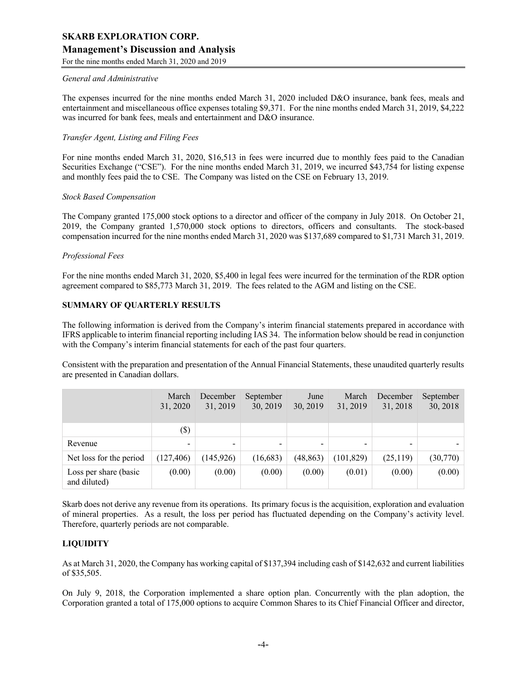#### **Management's Discussion and Analysis**

For the nine months ended March 31, 2020 and 2019

#### *General and Administrative*

The expenses incurred for the nine months ended March 31, 2020 included D&O insurance, bank fees, meals and entertainment and miscellaneous office expenses totaling \$9,371. For the nine months ended March 31, 2019, \$4,222 was incurred for bank fees, meals and entertainment and D&O insurance.

#### *Transfer Agent, Listing and Filing Fees*

For nine months ended March 31, 2020, \$16,513 in fees were incurred due to monthly fees paid to the Canadian Securities Exchange ("CSE"). For the nine months ended March 31, 2019, we incurred \$43,754 for listing expense and monthly fees paid the to CSE. The Company was listed on the CSE on February 13, 2019.

#### *Stock Based Compensation*

The Company granted 175,000 stock options to a director and officer of the company in July 2018. On October 21, 2019, the Company granted 1,570,000 stock options to directors, officers and consultants. The stock-based compensation incurred for the nine months ended March 31, 2020 was \$137,689 compared to \$1,731 March 31, 2019.

#### *Professional Fees*

For the nine months ended March 31, 2020, \$5,400 in legal fees were incurred for the termination of the RDR option agreement compared to \$85,773 March 31, 2019. The fees related to the AGM and listing on the CSE.

#### **SUMMARY OF QUARTERLY RESULTS**

The following information is derived from the Company's interim financial statements prepared in accordance with IFRS applicable to interim financial reporting including IAS 34. The information below should be read in conjunction with the Company's interim financial statements for each of the past four quarters.

Consistent with the preparation and presentation of the Annual Financial Statements, these unaudited quarterly results are presented in Canadian dollars.

|                                       | March<br>31, 2020 | December<br>31, 2019 | September<br>30, 2019 | June<br>30, 2019 | March<br>31, 2019 | December<br>31, 2018 | September<br>30, 2018 |
|---------------------------------------|-------------------|----------------------|-----------------------|------------------|-------------------|----------------------|-----------------------|
|                                       | $(\$\)$           |                      |                       |                  |                   |                      |                       |
| Revenue                               |                   | -                    | $\qquad \qquad$       | -                | -                 |                      |                       |
| Net loss for the period               | (127, 406)        | (145, 926)           | (16, 683)             | (48, 863)        | (101, 829)        | (25,119)             | (30,770)              |
| Loss per share (basic<br>and diluted) | (0.00)            | (0.00)               | (0.00)                | (0.00)           | (0.01)            | (0.00)               | (0.00)                |

Skarb does not derive any revenue from its operations. Its primary focus is the acquisition, exploration and evaluation of mineral properties. As a result, the loss per period has fluctuated depending on the Company's activity level. Therefore, quarterly periods are not comparable.

#### **LIQUIDITY**

As at March 31, 2020, the Company has working capital of \$137,394 including cash of \$142,632 and current liabilities of \$35,505.

On July 9, 2018, the Corporation implemented a share option plan. Concurrently with the plan adoption, the Corporation granted a total of 175,000 options to acquire Common Shares to its Chief Financial Officer and director,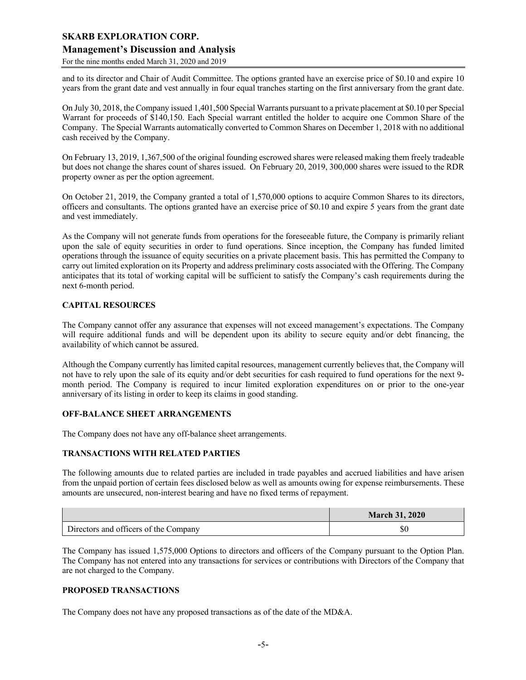#### **Management's Discussion and Analysis**

For the nine months ended March 31, 2020 and 2019

and to its director and Chair of Audit Committee. The options granted have an exercise price of \$0.10 and expire 10 years from the grant date and vest annually in four equal tranches starting on the first anniversary from the grant date.

On July 30, 2018, the Company issued 1,401,500 Special Warrants pursuant to a private placement at \$0.10 per Special Warrant for proceeds of \$140,150. Each Special warrant entitled the holder to acquire one Common Share of the Company. The Special Warrants automatically converted to Common Shares on December 1, 2018 with no additional cash received by the Company.

On February 13, 2019, 1,367,500 of the original founding escrowed shares were released making them freely tradeable but does not change the shares count of shares issued. On February 20, 2019, 300,000 shares were issued to the RDR property owner as per the option agreement.

On October 21, 2019, the Company granted a total of 1,570,000 options to acquire Common Shares to its directors, officers and consultants. The options granted have an exercise price of \$0.10 and expire 5 years from the grant date and vest immediately.

As the Company will not generate funds from operations for the foreseeable future, the Company is primarily reliant upon the sale of equity securities in order to fund operations. Since inception, the Company has funded limited operations through the issuance of equity securities on a private placement basis. This has permitted the Company to carry out limited exploration on its Property and address preliminary costs associated with the Offering. The Company anticipates that its total of working capital will be sufficient to satisfy the Company's cash requirements during the next 6-month period.

#### **CAPITAL RESOURCES**

The Company cannot offer any assurance that expenses will not exceed management's expectations. The Company will require additional funds and will be dependent upon its ability to secure equity and/or debt financing, the availability of which cannot be assured.

Although the Company currently has limited capital resources, management currently believes that, the Company will not have to rely upon the sale of its equity and/or debt securities for cash required to fund operations for the next 9 month period. The Company is required to incur limited exploration expenditures on or prior to the one-year anniversary of its listing in order to keep its claims in good standing.

#### **OFF-BALANCE SHEET ARRANGEMENTS**

The Company does not have any off-balance sheet arrangements.

#### **TRANSACTIONS WITH RELATED PARTIES**

The following amounts due to related parties are included in trade payables and accrued liabilities and have arisen from the unpaid portion of certain fees disclosed below as well as amounts owing for expense reimbursements. These amounts are unsecured, non-interest bearing and have no fixed terms of repayment.

|                                       | <b>March 31, 2020</b> |
|---------------------------------------|-----------------------|
| Directors and officers of the Company | ΦU                    |

The Company has issued 1,575,000 Options to directors and officers of the Company pursuant to the Option Plan. The Company has not entered into any transactions for services or contributions with Directors of the Company that are not charged to the Company.

#### **PROPOSED TRANSACTIONS**

The Company does not have any proposed transactions as of the date of the MD&A.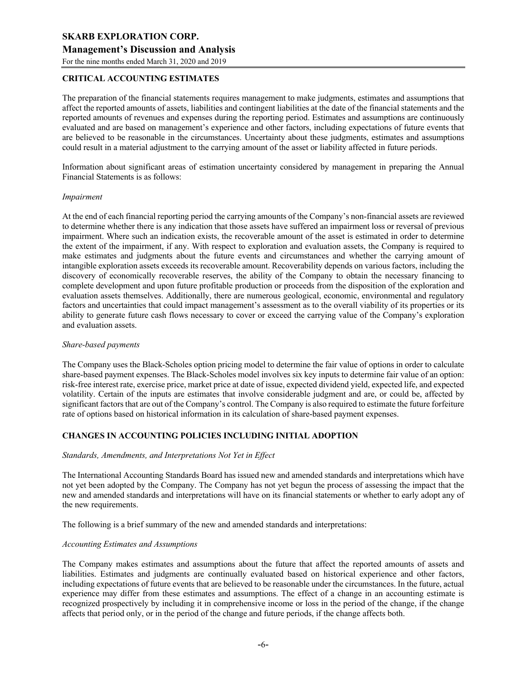#### **Management's Discussion and Analysis**

For the nine months ended March 31, 2020 and 2019

#### **CRITICAL ACCOUNTING ESTIMATES**

The preparation of the financial statements requires management to make judgments, estimates and assumptions that affect the reported amounts of assets, liabilities and contingent liabilities at the date of the financial statements and the reported amounts of revenues and expenses during the reporting period. Estimates and assumptions are continuously evaluated and are based on management's experience and other factors, including expectations of future events that are believed to be reasonable in the circumstances. Uncertainty about these judgments, estimates and assumptions could result in a material adjustment to the carrying amount of the asset or liability affected in future periods.

Information about significant areas of estimation uncertainty considered by management in preparing the Annual Financial Statements is as follows:

#### *Impairment*

At the end of each financial reporting period the carrying amounts of the Company's non-financial assets are reviewed to determine whether there is any indication that those assets have suffered an impairment loss or reversal of previous impairment. Where such an indication exists, the recoverable amount of the asset is estimated in order to determine the extent of the impairment, if any. With respect to exploration and evaluation assets, the Company is required to make estimates and judgments about the future events and circumstances and whether the carrying amount of intangible exploration assets exceeds its recoverable amount. Recoverability depends on various factors, including the discovery of economically recoverable reserves, the ability of the Company to obtain the necessary financing to complete development and upon future profitable production or proceeds from the disposition of the exploration and evaluation assets themselves. Additionally, there are numerous geological, economic, environmental and regulatory factors and uncertainties that could impact management's assessment as to the overall viability of its properties or its ability to generate future cash flows necessary to cover or exceed the carrying value of the Company's exploration and evaluation assets.

#### *Share-based payments*

The Company uses the Black-Scholes option pricing model to determine the fair value of options in order to calculate share-based payment expenses. The Black-Scholes model involves six key inputs to determine fair value of an option: risk-free interest rate, exercise price, market price at date of issue, expected dividend yield, expected life, and expected volatility. Certain of the inputs are estimates that involve considerable judgment and are, or could be, affected by significant factors that are out of the Company's control. The Company is also required to estimate the future forfeiture rate of options based on historical information in its calculation of share-based payment expenses.

#### **CHANGES IN ACCOUNTING POLICIES INCLUDING INITIAL ADOPTION**

#### *Standards, Amendments, and Interpretations Not Yet in Effect*

The International Accounting Standards Board has issued new and amended standards and interpretations which have not yet been adopted by the Company. The Company has not yet begun the process of assessing the impact that the new and amended standards and interpretations will have on its financial statements or whether to early adopt any of the new requirements.

The following is a brief summary of the new and amended standards and interpretations:

#### *Accounting Estimates and Assumptions*

The Company makes estimates and assumptions about the future that affect the reported amounts of assets and liabilities. Estimates and judgments are continually evaluated based on historical experience and other factors, including expectations of future events that are believed to be reasonable under the circumstances. In the future, actual experience may differ from these estimates and assumptions. The effect of a change in an accounting estimate is recognized prospectively by including it in comprehensive income or loss in the period of the change, if the change affects that period only, or in the period of the change and future periods, if the change affects both.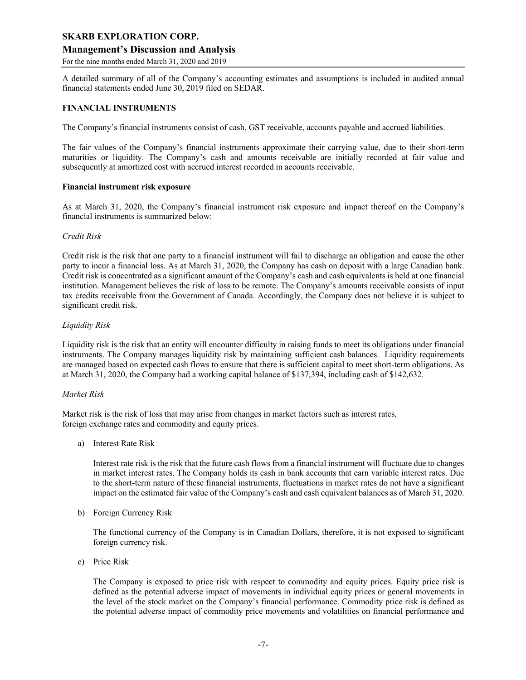#### **Management's Discussion and Analysis**

For the nine months ended March 31, 2020 and 2019

A detailed summary of all of the Company's accounting estimates and assumptions is included in audited annual financial statements ended June 30, 2019 filed on SEDAR.

#### **FINANCIAL INSTRUMENTS**

The Company's financial instruments consist of cash, GST receivable, accounts payable and accrued liabilities.

The fair values of the Company's financial instruments approximate their carrying value, due to their short-term maturities or liquidity. The Company's cash and amounts receivable are initially recorded at fair value and subsequently at amortized cost with accrued interest recorded in accounts receivable.

#### **Financial instrument risk exposure**

As at March 31, 2020, the Company's financial instrument risk exposure and impact thereof on the Company's financial instruments is summarized below:

#### *Credit Risk*

Credit risk is the risk that one party to a financial instrument will fail to discharge an obligation and cause the other party to incur a financial loss. As at March 31, 2020, the Company has cash on deposit with a large Canadian bank. Credit risk is concentrated as a significant amount of the Company's cash and cash equivalents is held at one financial institution. Management believes the risk of loss to be remote. The Company's amounts receivable consists of input tax credits receivable from the Government of Canada. Accordingly, the Company does not believe it is subject to significant credit risk.

#### *Liquidity Risk*

Liquidity risk is the risk that an entity will encounter difficulty in raising funds to meet its obligations under financial instruments. The Company manages liquidity risk by maintaining sufficient cash balances. Liquidity requirements are managed based on expected cash flows to ensure that there is sufficient capital to meet short-term obligations. As at March 31, 2020, the Company had a working capital balance of \$137,394, including cash of \$142,632.

#### *Market Risk*

Market risk is the risk of loss that may arise from changes in market factors such as interest rates, foreign exchange rates and commodity and equity prices.

a) Interest Rate Risk

Interest rate risk is the risk that the future cash flows from a financial instrument will fluctuate due to changes in market interest rates. The Company holds its cash in bank accounts that earn variable interest rates. Due to the short-term nature of these financial instruments, fluctuations in market rates do not have a significant impact on the estimated fair value of the Company's cash and cash equivalent balances as of March 31, 2020.

b) Foreign Currency Risk

The functional currency of the Company is in Canadian Dollars, therefore, it is not exposed to significant foreign currency risk.

c) Price Risk

The Company is exposed to price risk with respect to commodity and equity prices. Equity price risk is defined as the potential adverse impact of movements in individual equity prices or general movements in the level of the stock market on the Company's financial performance. Commodity price risk is defined as the potential adverse impact of commodity price movements and volatilities on financial performance and